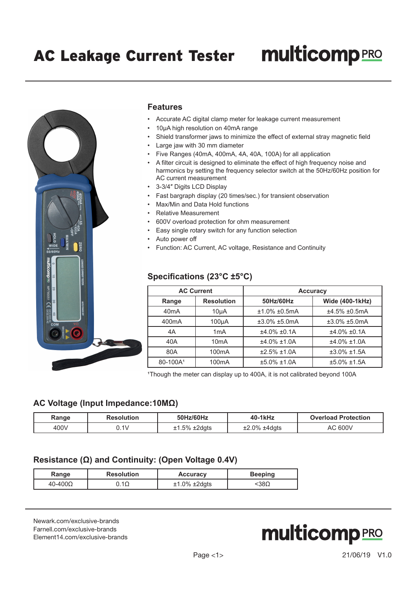

#### **Features**

- Accurate AC digital clamp meter for leakage current measurement
- 10µA high resolution on 40mA range
- Shield transformer jaws to minimize the effect of external stray magnetic field
- Large jaw with 30 mm diameter
- Five Ranges (40mA, 400mA, 4A, 40A, 100A) for all application
- A filter circuit is designed to eliminate the effect of high frequency noise and harmonics by setting the frequency selector switch at the 50Hz/60Hz position for AC current measurement
- 3-3/4″ Digits LCD Display
- Fast bargraph display (20 times/sec.) for transient observation
- Max/Min and Data Hold functions
- Relative Measurement
- 600V overload protection for ohm measurement
- Easy single rotary switch for any function selection
- Auto power off
- Function: AC Current, AC voltage, Resistance and Continuity

### **Specifications (23°C ±5°C)**

| <b>AC Current</b>    |                    | <b>Accuracy</b> |                 |  |
|----------------------|--------------------|-----------------|-----------------|--|
| Range                | <b>Resolution</b>  | 50Hz/60Hz       | Wide (400-1kHz) |  |
| 40 <sub>m</sub> A    | 10 <sub>µ</sub> A  | $±1.0\%±0.5mA$  | ±4.5% ±0.5mA    |  |
| 400 <sub>m</sub> A   | 100 <sub>µ</sub> A | $±3.0\%±5.0mA$  | $±3.0\%±5.0mA$  |  |
| 4A                   | 1mA                | $±4.0\%$ ±0.1A  | $±4.0\%$ ±0.1A  |  |
| 40A                  | 10 <sub>m</sub> A  | $±4.0\%±1.0A$   | $±4.0\%±1.0A$   |  |
| 80A                  | 100 <sub>m</sub> A | $±2.5\%±1.0A$   | $±3.0\%±1.5A$   |  |
| 80-100A <sup>1</sup> | 100 <sub>m</sub> A | $±5.0\%±1.0A$   | $±5.0\%±1.5A$   |  |

<sup>1</sup>Though the meter can display up to 400A, it is not calibrated beyond 100A

#### **AC Voltage (Input Impedance:10MΩ)**

| Range | <b>Resolution</b> | 50Hz/60Hz           | 40-1kHz             | <b>Overload Protection</b> |
|-------|-------------------|---------------------|---------------------|----------------------------|
| 400V  | n 1 v             | $±1.5\% \pm 2$ dgts | $±2.0\% \pm 4$ dgts | AC 600V                    |

#### **Resistance (Ω) and Continuity: (Open Voltage 0.4V)**

| Range            | <b>Resolution</b> | <b>Accuracy</b>     | <b>Beeping</b> |
|------------------|-------------------|---------------------|----------------|
| $40 - 400\Omega$ | 1Ω                | $±1.0\% \pm 2$ dgts | 138Ω           |

[Newark.com/exclusive-brands](https://www.newark.com/exclusive-brands) [Farnell.com/exclusive-brands](https://www.farnell.com/exclusive-brands) [Element14.com/exclusive-brands](https://element14.com/exclusive-brands)